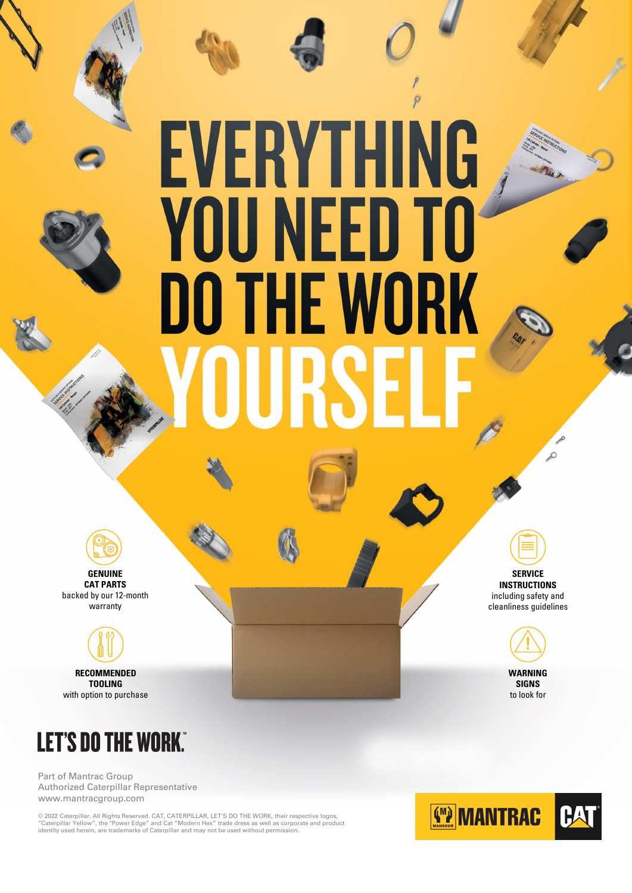Part of Mantrac Group Authorized Caterpillar Representative www.mantracgroup.com

© 2022 Caterpillar. All Rights Reserved. CAT, CATERPILLAR, LET'S DO THE WORK, their respective logos, "Caterpillar Yellow", the "Power Edge" and Cat "Modern Hex" trade dress as well as corporate and product identity used herein, are trademarks of Caterpillar and may not be used without permission.



# EVERYTHING<br>YOU NEED TO **DO THE WORK** URSE



**GENUINE CAT PARTS** backed by our 12-month warranty



**TOOLING** with option to purchase

**SERVICE INSTRUCTIONS** including safety and cleanliness guidelines

 $\mathcal{L}$ 



**SIGNS** to look for

### **LET'S DO THE WORK."**